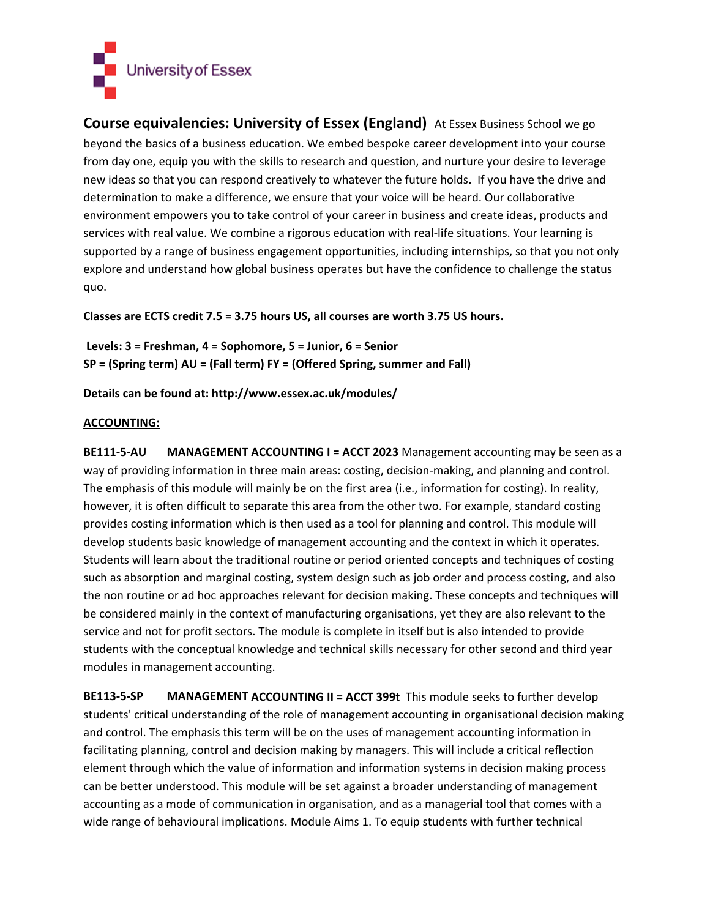

**Course equivalencies: University of Essex (England)** At Essex Business School we go beyond the basics of a business education. We embed bespoke career development into your course from day one, equip you with the skills to research and question, and nurture your desire to leverage new ideas so that you can respond creatively to whatever the future holds**.** If you have the drive and determination to make a difference, we ensure that your voice will be heard. Our collaborative environment empowers you to take control of your career in business and create ideas, products and services with real value. We combine a rigorous education with real-life situations. Your learning is supported by a range of business engagement opportunities, including internships, so that you not only explore and understand how global business operates but have the confidence to challenge the status quo.

Classes are ECTS credit 7.5 = 3.75 hours US, all courses are worth 3.75 US hours.

**Levels: 3 = Freshman, 4 = Sophomore, 5 = Junior, 6 = Senior SP = (Spring term) AU = (Fall term) FY = (Offered Spring, summer and Fall)** 

**Details can be found at: http://www.essex.ac.uk/modules/**

## **ACCOUNTING:**

**BE111‐5‐AU MANAGEMENT ACCOUNTING I = ACCT 2023** Management accounting may be seen as a way of providing information in three main areas: costing, decision-making, and planning and control. The emphasis of this module will mainly be on the first area (i.e., information for costing). In reality, however, it is often difficult to separate this area from the other two. For example, standard costing provides costing information which is then used as a tool for planning and control. This module will develop students basic knowledge of management accounting and the context in which it operates. Students will learn about the traditional routine or period oriented concepts and techniques of costing such as absorption and marginal costing, system design such as job order and process costing, and also the non routine or ad hoc approaches relevant for decision making. These concepts and techniques will be considered mainly in the context of manufacturing organisations, yet they are also relevant to the service and not for profit sectors. The module is complete in itself but is also intended to provide students with the conceptual knowledge and technical skills necessary for other second and third year modules in management accounting.

**BE113‐5‐SP MANAGEMENT ACCOUNTING II = ACCT 399t** This module seeks to further develop students' critical understanding of the role of management accounting in organisational decision making and control. The emphasis this term will be on the uses of management accounting information in facilitating planning, control and decision making by managers. This will include a critical reflection element through which the value of information and information systems in decision making process can be better understood. This module will be set against a broader understanding of management accounting as a mode of communication in organisation, and as a managerial tool that comes with a wide range of behavioural implications. Module Aims 1. To equip students with further technical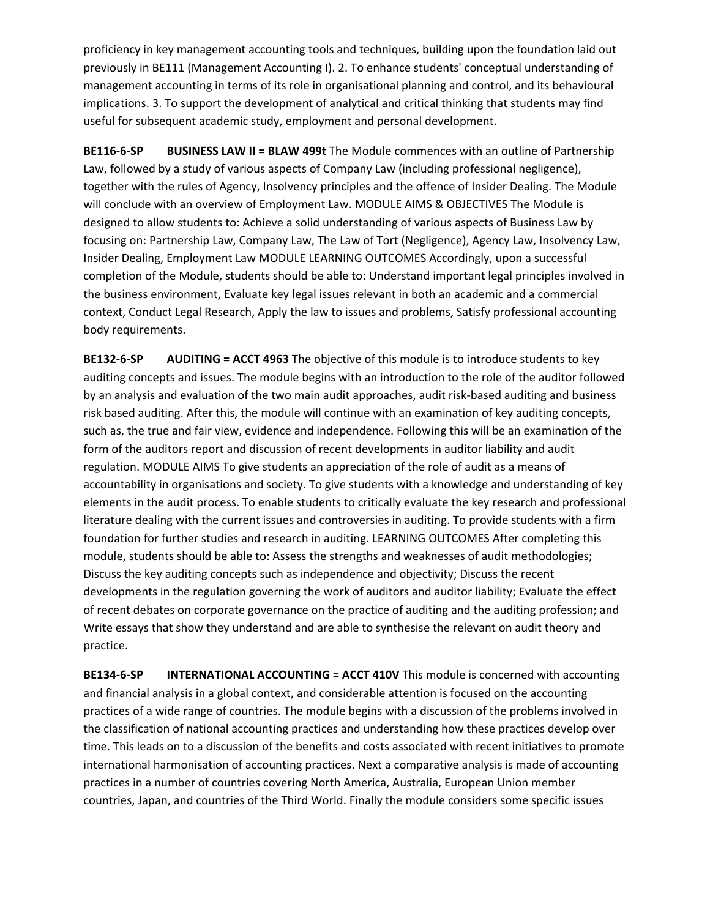proficiency in key management accounting tools and techniques, building upon the foundation laid out previously in BE111 (Management Accounting I). 2. To enhance students' conceptual understanding of management accounting in terms of its role in organisational planning and control, and its behavioural implications. 3. To support the development of analytical and critical thinking that students may find useful for subsequent academic study, employment and personal development.

**BE116‐6‐SP BUSINESS LAW II = BLAW 499t** The Module commences with an outline of Partnership Law, followed by a study of various aspects of Company Law (including professional negligence), together with the rules of Agency, Insolvency principles and the offence of Insider Dealing. The Module will conclude with an overview of Employment Law. MODULE AIMS & OBJECTIVES The Module is designed to allow students to: Achieve a solid understanding of various aspects of Business Law by focusing on: Partnership Law, Company Law, The Law of Tort (Negligence), Agency Law, Insolvency Law, Insider Dealing, Employment Law MODULE LEARNING OUTCOMES Accordingly, upon a successful completion of the Module, students should be able to: Understand important legal principles involved in the business environment, Evaluate key legal issues relevant in both an academic and a commercial context, Conduct Legal Research, Apply the law to issues and problems, Satisfy professional accounting body requirements.

**BE132‐6‐SP AUDITING = ACCT 4963** The objective of this module is to introduce students to key auditing concepts and issues. The module begins with an introduction to the role of the auditor followed by an analysis and evaluation of the two main audit approaches, audit risk‐based auditing and business risk based auditing. After this, the module will continue with an examination of key auditing concepts, such as, the true and fair view, evidence and independence. Following this will be an examination of the form of the auditors report and discussion of recent developments in auditor liability and audit regulation. MODULE AIMS To give students an appreciation of the role of audit as a means of accountability in organisations and society. To give students with a knowledge and understanding of key elements in the audit process. To enable students to critically evaluate the key research and professional literature dealing with the current issues and controversies in auditing. To provide students with a firm foundation for further studies and research in auditing. LEARNING OUTCOMES After completing this module, students should be able to: Assess the strengths and weaknesses of audit methodologies; Discuss the key auditing concepts such as independence and objectivity; Discuss the recent developments in the regulation governing the work of auditors and auditor liability; Evaluate the effect of recent debates on corporate governance on the practice of auditing and the auditing profession; and Write essays that show they understand and are able to synthesise the relevant on audit theory and practice.

**BE134‐6‐SP INTERNATIONAL ACCOUNTING = ACCT 410V** This module is concerned with accounting and financial analysis in a global context, and considerable attention is focused on the accounting practices of a wide range of countries. The module begins with a discussion of the problems involved in the classification of national accounting practices and understanding how these practices develop over time. This leads on to a discussion of the benefits and costs associated with recent initiatives to promote international harmonisation of accounting practices. Next a comparative analysis is made of accounting practices in a number of countries covering North America, Australia, European Union member countries, Japan, and countries of the Third World. Finally the module considers some specific issues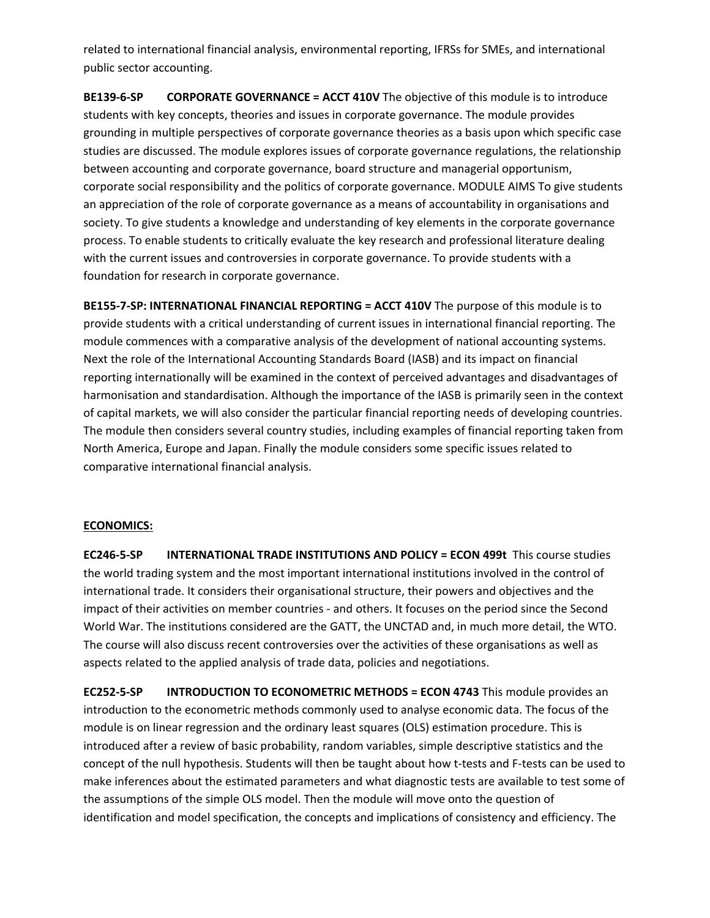related to international financial analysis, environmental reporting, IFRSs for SMEs, and international public sector accounting.

**BE139‐6‐SP CORPORATE GOVERNANCE = ACCT 410V** The objective of this module is to introduce students with key concepts, theories and issues in corporate governance. The module provides grounding in multiple perspectives of corporate governance theories as a basis upon which specific case studies are discussed. The module explores issues of corporate governance regulations, the relationship between accounting and corporate governance, board structure and managerial opportunism, corporate social responsibility and the politics of corporate governance. MODULE AIMS To give students an appreciation of the role of corporate governance as a means of accountability in organisations and society. To give students a knowledge and understanding of key elements in the corporate governance process. To enable students to critically evaluate the key research and professional literature dealing with the current issues and controversies in corporate governance. To provide students with a foundation for research in corporate governance.

**BE155‐7‐SP: INTERNATIONAL FINANCIAL REPORTING = ACCT 410V** The purpose of this module is to provide students with a critical understanding of current issues in international financial reporting. The module commences with a comparative analysis of the development of national accounting systems. Next the role of the International Accounting Standards Board (IASB) and its impact on financial reporting internationally will be examined in the context of perceived advantages and disadvantages of harmonisation and standardisation. Although the importance of the IASB is primarily seen in the context of capital markets, we will also consider the particular financial reporting needs of developing countries. The module then considers several country studies, including examples of financial reporting taken from North America, Europe and Japan. Finally the module considers some specific issues related to comparative international financial analysis.

### **ECONOMICS:**

**EC246‐5‐SP INTERNATIONAL TRADE INSTITUTIONS AND POLICY = ECON 499t** This course studies the world trading system and the most important international institutions involved in the control of international trade. It considers their organisational structure, their powers and objectives and the impact of their activities on member countries ‐ and others. It focuses on the period since the Second World War. The institutions considered are the GATT, the UNCTAD and, in much more detail, the WTO. The course will also discuss recent controversies over the activities of these organisations as well as aspects related to the applied analysis of trade data, policies and negotiations.

**EC252‐5‐SP INTRODUCTION TO ECONOMETRIC METHODS = ECON 4743** This module provides an introduction to the econometric methods commonly used to analyse economic data. The focus of the module is on linear regression and the ordinary least squares (OLS) estimation procedure. This is introduced after a review of basic probability, random variables, simple descriptive statistics and the concept of the null hypothesis. Students will then be taught about how t-tests and F-tests can be used to make inferences about the estimated parameters and what diagnostic tests are available to test some of the assumptions of the simple OLS model. Then the module will move onto the question of identification and model specification, the concepts and implications of consistency and efficiency. The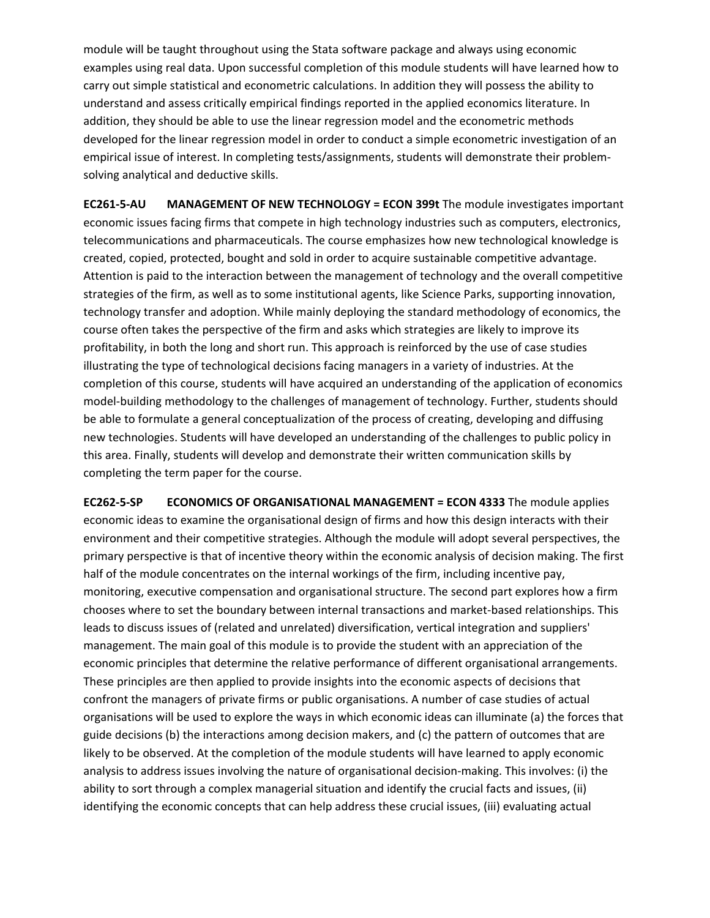module will be taught throughout using the Stata software package and always using economic examples using real data. Upon successful completion of this module students will have learned how to carry out simple statistical and econometric calculations. In addition they will possess the ability to understand and assess critically empirical findings reported in the applied economics literature. In addition, they should be able to use the linear regression model and the econometric methods developed for the linear regression model in order to conduct a simple econometric investigation of an empirical issue of interest. In completing tests/assignments, students will demonstrate their problemsolving analytical and deductive skills.

**EC261‐5‐AU MANAGEMENT OF NEW TECHNOLOGY = ECON 399t** The module investigates important economic issues facing firms that compete in high technology industries such as computers, electronics, telecommunications and pharmaceuticals. The course emphasizes how new technological knowledge is created, copied, protected, bought and sold in order to acquire sustainable competitive advantage. Attention is paid to the interaction between the management of technology and the overall competitive strategies of the firm, as well as to some institutional agents, like Science Parks, supporting innovation, technology transfer and adoption. While mainly deploying the standard methodology of economics, the course often takes the perspective of the firm and asks which strategies are likely to improve its profitability, in both the long and short run. This approach is reinforced by the use of case studies illustrating the type of technological decisions facing managers in a variety of industries. At the completion of this course, students will have acquired an understanding of the application of economics model‐building methodology to the challenges of management of technology. Further, students should be able to formulate a general conceptualization of the process of creating, developing and diffusing new technologies. Students will have developed an understanding of the challenges to public policy in this area. Finally, students will develop and demonstrate their written communication skills by completing the term paper for the course.

**EC262‐5‐SP ECONOMICS OF ORGANISATIONAL MANAGEMENT = ECON 4333** The module applies economic ideas to examine the organisational design of firms and how this design interacts with their environment and their competitive strategies. Although the module will adopt several perspectives, the primary perspective is that of incentive theory within the economic analysis of decision making. The first half of the module concentrates on the internal workings of the firm, including incentive pay, monitoring, executive compensation and organisational structure. The second part explores how a firm chooses where to set the boundary between internal transactions and market‐based relationships. This leads to discuss issues of (related and unrelated) diversification, vertical integration and suppliers' management. The main goal of this module is to provide the student with an appreciation of the economic principles that determine the relative performance of different organisational arrangements. These principles are then applied to provide insights into the economic aspects of decisions that confront the managers of private firms or public organisations. A number of case studies of actual organisations will be used to explore the ways in which economic ideas can illuminate (a) the forces that guide decisions (b) the interactions among decision makers, and (c) the pattern of outcomes that are likely to be observed. At the completion of the module students will have learned to apply economic analysis to address issues involving the nature of organisational decision-making. This involves: (i) the ability to sort through a complex managerial situation and identify the crucial facts and issues, (ii) identifying the economic concepts that can help address these crucial issues, (iii) evaluating actual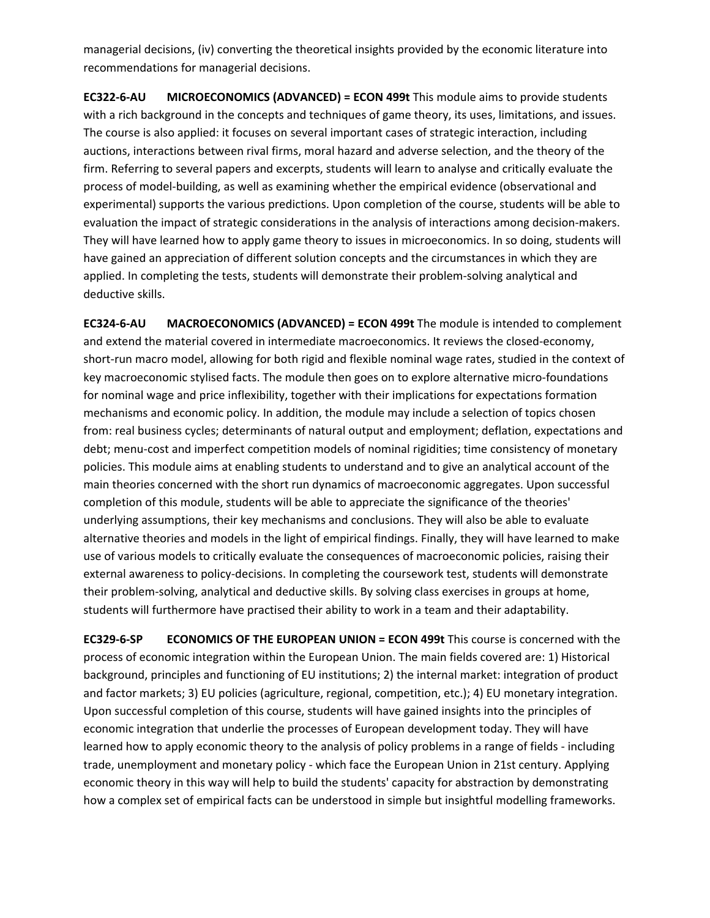managerial decisions, (iv) converting the theoretical insights provided by the economic literature into recommendations for managerial decisions.

**EC322‐6‐AU MICROECONOMICS (ADVANCED) = ECON 499t** This module aims to provide students with a rich background in the concepts and techniques of game theory, its uses, limitations, and issues. The course is also applied: it focuses on several important cases of strategic interaction, including auctions, interactions between rival firms, moral hazard and adverse selection, and the theory of the firm. Referring to several papers and excerpts, students will learn to analyse and critically evaluate the process of model‐building, as well as examining whether the empirical evidence (observational and experimental) supports the various predictions. Upon completion of the course, students will be able to evaluation the impact of strategic considerations in the analysis of interactions among decision-makers. They will have learned how to apply game theory to issues in microeconomics. In so doing, students will have gained an appreciation of different solution concepts and the circumstances in which they are applied. In completing the tests, students will demonstrate their problem‐solving analytical and deductive skills.

**EC324‐6‐AU MACROECONOMICS (ADVANCED) = ECON 499t** The module is intended to complement and extend the material covered in intermediate macroeconomics. It reviews the closed‐economy, short-run macro model, allowing for both rigid and flexible nominal wage rates, studied in the context of key macroeconomic stylised facts. The module then goes on to explore alternative micro-foundations for nominal wage and price inflexibility, together with their implications for expectations formation mechanisms and economic policy. In addition, the module may include a selection of topics chosen from: real business cycles; determinants of natural output and employment; deflation, expectations and debt; menu-cost and imperfect competition models of nominal rigidities; time consistency of monetary policies. This module aims at enabling students to understand and to give an analytical account of the main theories concerned with the short run dynamics of macroeconomic aggregates. Upon successful completion of this module, students will be able to appreciate the significance of the theories' underlying assumptions, their key mechanisms and conclusions. They will also be able to evaluate alternative theories and models in the light of empirical findings. Finally, they will have learned to make use of various models to critically evaluate the consequences of macroeconomic policies, raising their external awareness to policy‐decisions. In completing the coursework test, students will demonstrate their problem‐solving, analytical and deductive skills. By solving class exercises in groups at home, students will furthermore have practised their ability to work in a team and their adaptability.

**EC329‐6‐SP ECONOMICS OF THE EUROPEAN UNION = ECON 499t** This course is concerned with the process of economic integration within the European Union. The main fields covered are: 1) Historical background, principles and functioning of EU institutions; 2) the internal market: integration of product and factor markets; 3) EU policies (agriculture, regional, competition, etc.); 4) EU monetary integration. Upon successful completion of this course, students will have gained insights into the principles of economic integration that underlie the processes of European development today. They will have learned how to apply economic theory to the analysis of policy problems in a range of fields ‐ including trade, unemployment and monetary policy ‐ which face the European Union in 21st century. Applying economic theory in this way will help to build the students' capacity for abstraction by demonstrating how a complex set of empirical facts can be understood in simple but insightful modelling frameworks.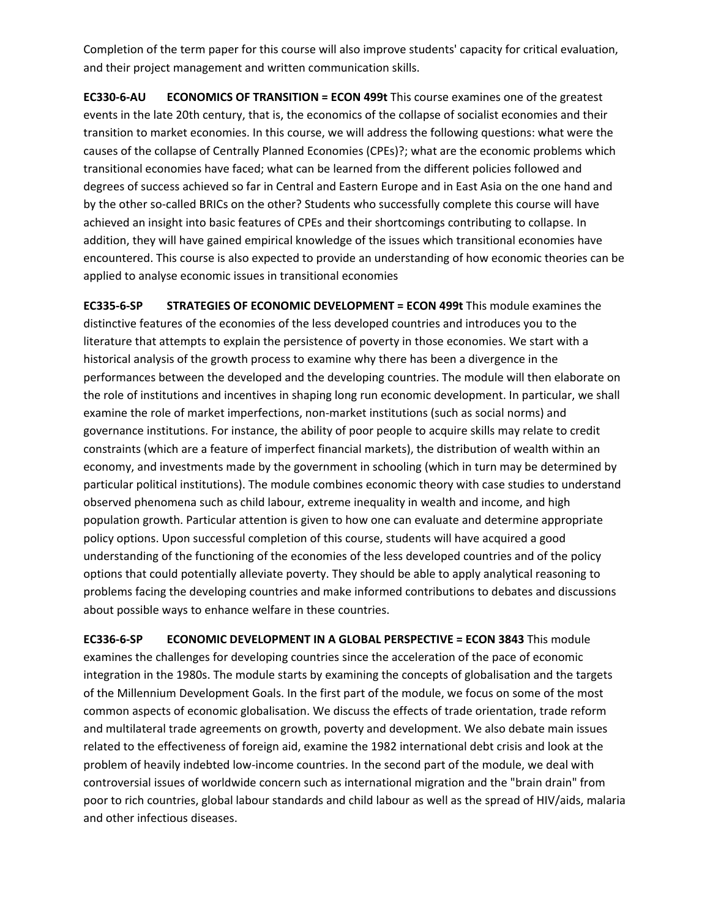Completion of the term paper for this course will also improve students' capacity for critical evaluation, and their project management and written communication skills.

**EC330‐6‐AU ECONOMICS OF TRANSITION = ECON 499t** This course examines one of the greatest events in the late 20th century, that is, the economics of the collapse of socialist economies and their transition to market economies. In this course, we will address the following questions: what were the causes of the collapse of Centrally Planned Economies (CPEs)?; what are the economic problems which transitional economies have faced; what can be learned from the different policies followed and degrees of success achieved so far in Central and Eastern Europe and in East Asia on the one hand and by the other so‐called BRICs on the other? Students who successfully complete this course will have achieved an insight into basic features of CPEs and their shortcomings contributing to collapse. In addition, they will have gained empirical knowledge of the issues which transitional economies have encountered. This course is also expected to provide an understanding of how economic theories can be applied to analyse economic issues in transitional economies

**EC335‐6‐SP STRATEGIES OF ECONOMIC DEVELOPMENT = ECON 499t** This module examines the distinctive features of the economies of the less developed countries and introduces you to the literature that attempts to explain the persistence of poverty in those economies. We start with a historical analysis of the growth process to examine why there has been a divergence in the performances between the developed and the developing countries. The module will then elaborate on the role of institutions and incentives in shaping long run economic development. In particular, we shall examine the role of market imperfections, non-market institutions (such as social norms) and governance institutions. For instance, the ability of poor people to acquire skills may relate to credit constraints (which are a feature of imperfect financial markets), the distribution of wealth within an economy, and investments made by the government in schooling (which in turn may be determined by particular political institutions). The module combines economic theory with case studies to understand observed phenomena such as child labour, extreme inequality in wealth and income, and high population growth. Particular attention is given to how one can evaluate and determine appropriate policy options. Upon successful completion of this course, students will have acquired a good understanding of the functioning of the economies of the less developed countries and of the policy options that could potentially alleviate poverty. They should be able to apply analytical reasoning to problems facing the developing countries and make informed contributions to debates and discussions about possible ways to enhance welfare in these countries.

**EC336‐6‐SP ECONOMIC DEVELOPMENT IN A GLOBAL PERSPECTIVE = ECON 3843** This module examines the challenges for developing countries since the acceleration of the pace of economic integration in the 1980s. The module starts by examining the concepts of globalisation and the targets of the Millennium Development Goals. In the first part of the module, we focus on some of the most common aspects of economic globalisation. We discuss the effects of trade orientation, trade reform and multilateral trade agreements on growth, poverty and development. We also debate main issues related to the effectiveness of foreign aid, examine the 1982 international debt crisis and look at the problem of heavily indebted low‐income countries. In the second part of the module, we deal with controversial issues of worldwide concern such as international migration and the "brain drain" from poor to rich countries, global labour standards and child labour as well as the spread of HIV/aids, malaria and other infectious diseases.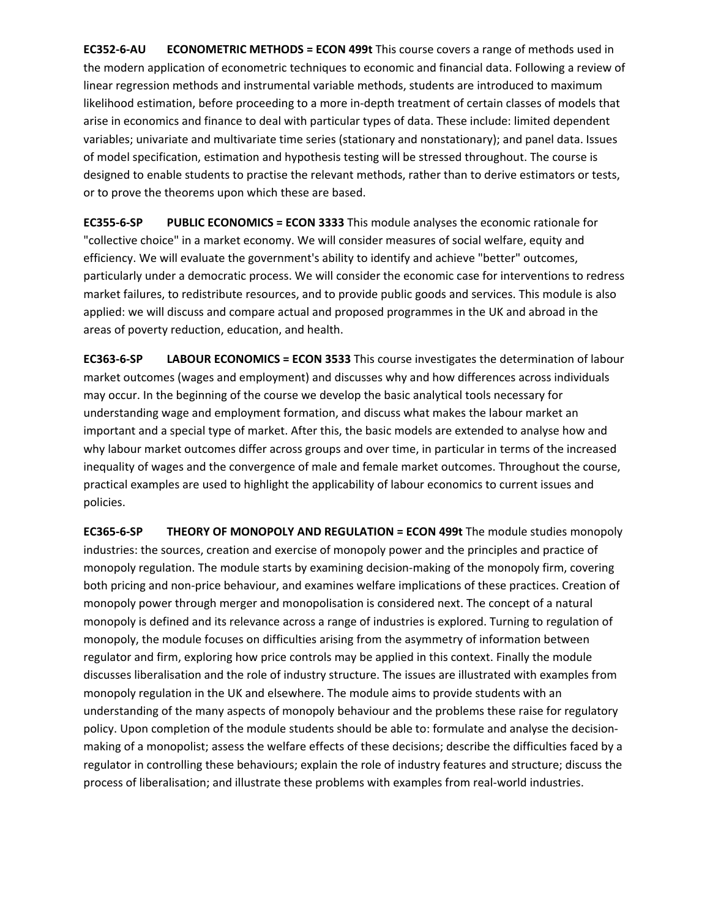**EC352‐6‐AU ECONOMETRIC METHODS = ECON 499t** This course covers a range of methods used in the modern application of econometric techniques to economic and financial data. Following a review of linear regression methods and instrumental variable methods, students are introduced to maximum likelihood estimation, before proceeding to a more in‐depth treatment of certain classes of models that arise in economics and finance to deal with particular types of data. These include: limited dependent variables; univariate and multivariate time series (stationary and nonstationary); and panel data. Issues of model specification, estimation and hypothesis testing will be stressed throughout. The course is designed to enable students to practise the relevant methods, rather than to derive estimators or tests, or to prove the theorems upon which these are based.

**EC355‐6‐SP PUBLIC ECONOMICS = ECON 3333** This module analyses the economic rationale for "collective choice" in a market economy. We will consider measures of social welfare, equity and efficiency. We will evaluate the government's ability to identify and achieve "better" outcomes, particularly under a democratic process. We will consider the economic case for interventions to redress market failures, to redistribute resources, and to provide public goods and services. This module is also applied: we will discuss and compare actual and proposed programmes in the UK and abroad in the areas of poverty reduction, education, and health.

**EC363‐6‐SP LABOUR ECONOMICS = ECON 3533** This course investigates the determination of labour market outcomes (wages and employment) and discusses why and how differences across individuals may occur. In the beginning of the course we develop the basic analytical tools necessary for understanding wage and employment formation, and discuss what makes the labour market an important and a special type of market. After this, the basic models are extended to analyse how and why labour market outcomes differ across groups and over time, in particular in terms of the increased inequality of wages and the convergence of male and female market outcomes. Throughout the course, practical examples are used to highlight the applicability of labour economics to current issues and policies.

**EC365‐6‐SP THEORY OF MONOPOLY AND REGULATION = ECON 499t** The module studies monopoly industries: the sources, creation and exercise of monopoly power and the principles and practice of monopoly regulation. The module starts by examining decision‐making of the monopoly firm, covering both pricing and non-price behaviour, and examines welfare implications of these practices. Creation of monopoly power through merger and monopolisation is considered next. The concept of a natural monopoly is defined and its relevance across a range of industries is explored. Turning to regulation of monopoly, the module focuses on difficulties arising from the asymmetry of information between regulator and firm, exploring how price controls may be applied in this context. Finally the module discusses liberalisation and the role of industry structure. The issues are illustrated with examples from monopoly regulation in the UK and elsewhere. The module aims to provide students with an understanding of the many aspects of monopoly behaviour and the problems these raise for regulatory policy. Upon completion of the module students should be able to: formulate and analyse the decisionmaking of a monopolist; assess the welfare effects of these decisions; describe the difficulties faced by a regulator in controlling these behaviours; explain the role of industry features and structure; discuss the process of liberalisation; and illustrate these problems with examples from real‐world industries.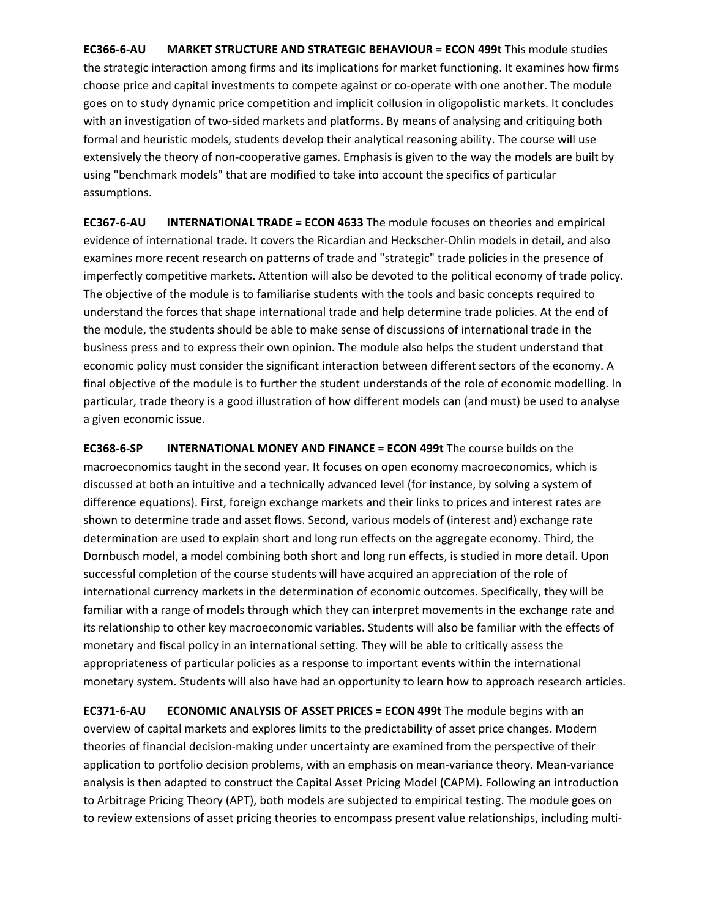**EC366‐6‐AU MARKET STRUCTURE AND STRATEGIC BEHAVIOUR = ECON 499t** This module studies the strategic interaction among firms and its implications for market functioning. It examines how firms choose price and capital investments to compete against or co-operate with one another. The module goes on to study dynamic price competition and implicit collusion in oligopolistic markets. It concludes with an investigation of two-sided markets and platforms. By means of analysing and critiquing both formal and heuristic models, students develop their analytical reasoning ability. The course will use extensively the theory of non‐cooperative games. Emphasis is given to the way the models are built by using "benchmark models" that are modified to take into account the specifics of particular assumptions.

**EC367‐6‐AU INTERNATIONAL TRADE = ECON 4633** The module focuses on theories and empirical evidence of international trade. It covers the Ricardian and Heckscher‐Ohlin models in detail, and also examines more recent research on patterns of trade and "strategic" trade policies in the presence of imperfectly competitive markets. Attention will also be devoted to the political economy of trade policy. The objective of the module is to familiarise students with the tools and basic concepts required to understand the forces that shape international trade and help determine trade policies. At the end of the module, the students should be able to make sense of discussions of international trade in the business press and to express their own opinion. The module also helps the student understand that economic policy must consider the significant interaction between different sectors of the economy. A final objective of the module is to further the student understands of the role of economic modelling. In particular, trade theory is a good illustration of how different models can (and must) be used to analyse a given economic issue.

**EC368‐6‐SP INTERNATIONAL MONEY AND FINANCE = ECON 499t** The course builds on the macroeconomics taught in the second year. It focuses on open economy macroeconomics, which is discussed at both an intuitive and a technically advanced level (for instance, by solving a system of difference equations). First, foreign exchange markets and their links to prices and interest rates are shown to determine trade and asset flows. Second, various models of (interest and) exchange rate determination are used to explain short and long run effects on the aggregate economy. Third, the Dornbusch model, a model combining both short and long run effects, is studied in more detail. Upon successful completion of the course students will have acquired an appreciation of the role of international currency markets in the determination of economic outcomes. Specifically, they will be familiar with a range of models through which they can interpret movements in the exchange rate and its relationship to other key macroeconomic variables. Students will also be familiar with the effects of monetary and fiscal policy in an international setting. They will be able to critically assess the appropriateness of particular policies as a response to important events within the international monetary system. Students will also have had an opportunity to learn how to approach research articles.

**EC371‐6‐AU ECONOMIC ANALYSIS OF ASSET PRICES = ECON 499t** The module begins with an overview of capital markets and explores limits to the predictability of asset price changes. Modern theories of financial decision‐making under uncertainty are examined from the perspective of their application to portfolio decision problems, with an emphasis on mean-variance theory. Mean-variance analysis is then adapted to construct the Capital Asset Pricing Model (CAPM). Following an introduction to Arbitrage Pricing Theory (APT), both models are subjected to empirical testing. The module goes on to review extensions of asset pricing theories to encompass present value relationships, including multi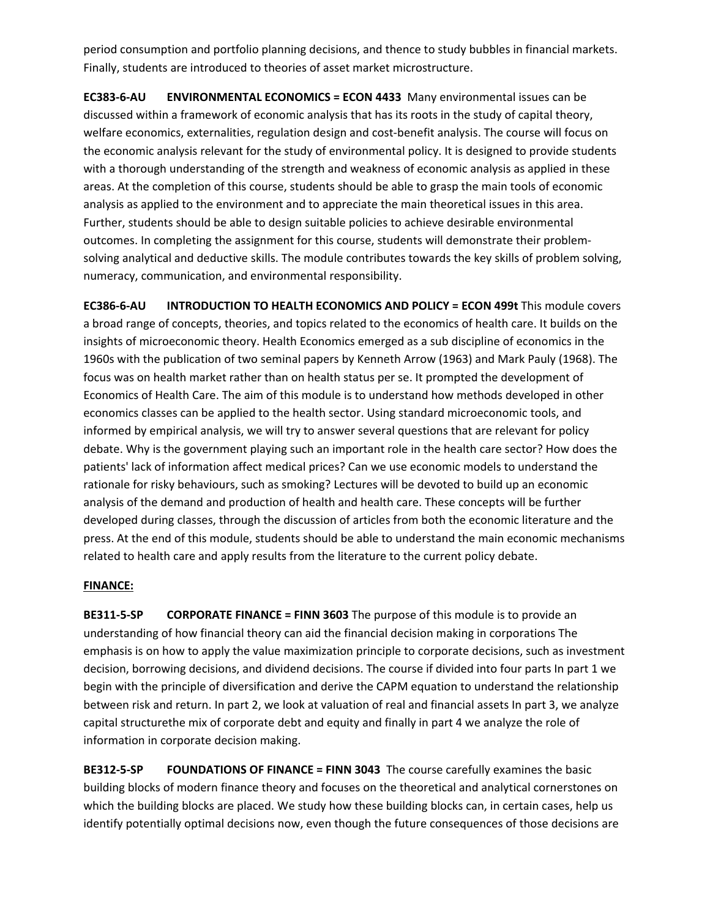period consumption and portfolio planning decisions, and thence to study bubbles in financial markets. Finally, students are introduced to theories of asset market microstructure.

**EC383‐6‐AU ENVIRONMENTAL ECONOMICS = ECON 4433** Many environmental issues can be discussed within a framework of economic analysis that has its roots in the study of capital theory, welfare economics, externalities, regulation design and cost-benefit analysis. The course will focus on the economic analysis relevant for the study of environmental policy. It is designed to provide students with a thorough understanding of the strength and weakness of economic analysis as applied in these areas. At the completion of this course, students should be able to grasp the main tools of economic analysis as applied to the environment and to appreciate the main theoretical issues in this area. Further, students should be able to design suitable policies to achieve desirable environmental outcomes. In completing the assignment for this course, students will demonstrate their problem‐ solving analytical and deductive skills. The module contributes towards the key skills of problem solving, numeracy, communication, and environmental responsibility.

**EC386‐6‐AU INTRODUCTION TO HEALTH ECONOMICS AND POLICY = ECON 499t** This module covers a broad range of concepts, theories, and topics related to the economics of health care. It builds on the insights of microeconomic theory. Health Economics emerged as a sub discipline of economics in the 1960s with the publication of two seminal papers by Kenneth Arrow (1963) and Mark Pauly (1968). The focus was on health market rather than on health status per se. It prompted the development of Economics of Health Care. The aim of this module is to understand how methods developed in other economics classes can be applied to the health sector. Using standard microeconomic tools, and informed by empirical analysis, we will try to answer several questions that are relevant for policy debate. Why is the government playing such an important role in the health care sector? How does the patients' lack of information affect medical prices? Can we use economic models to understand the rationale for risky behaviours, such as smoking? Lectures will be devoted to build up an economic analysis of the demand and production of health and health care. These concepts will be further developed during classes, through the discussion of articles from both the economic literature and the press. At the end of this module, students should be able to understand the main economic mechanisms related to health care and apply results from the literature to the current policy debate.

# **FINANCE:**

**BE311‐5‐SP CORPORATE FINANCE = FINN 3603** The purpose of this module is to provide an understanding of how financial theory can aid the financial decision making in corporations The emphasis is on how to apply the value maximization principle to corporate decisions, such as investment decision, borrowing decisions, and dividend decisions. The course if divided into four parts In part 1 we begin with the principle of diversification and derive the CAPM equation to understand the relationship between risk and return. In part 2, we look at valuation of real and financial assets In part 3, we analyze capital structurethe mix of corporate debt and equity and finally in part 4 we analyze the role of information in corporate decision making.

**BE312‐5‐SP FOUNDATIONS OF FINANCE = FINN 3043** The course carefully examines the basic building blocks of modern finance theory and focuses on the theoretical and analytical cornerstones on which the building blocks are placed. We study how these building blocks can, in certain cases, help us identify potentially optimal decisions now, even though the future consequences of those decisions are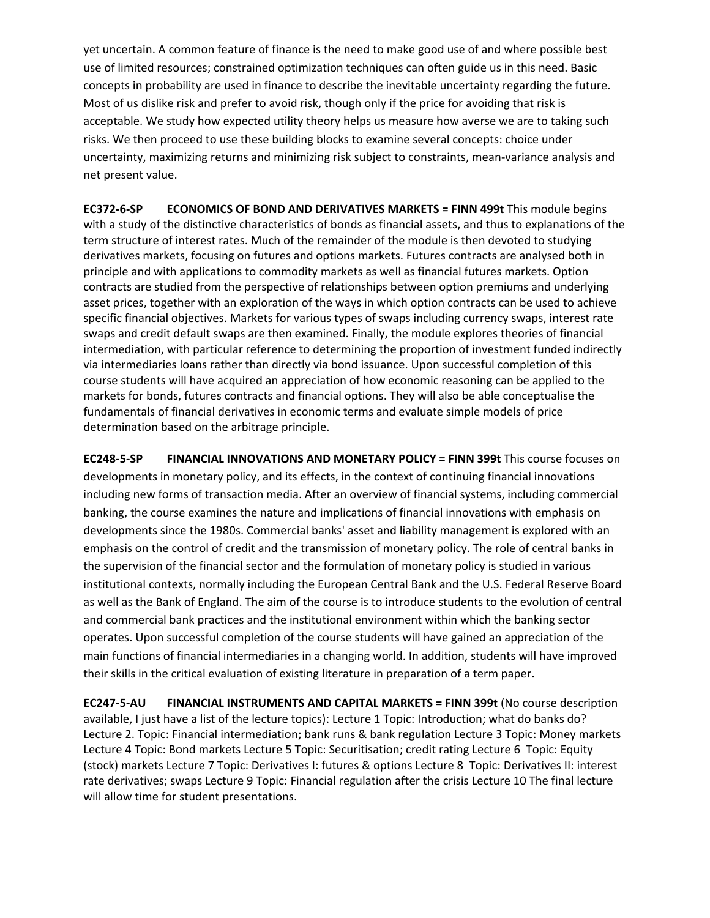yet uncertain. A common feature of finance is the need to make good use of and where possible best use of limited resources; constrained optimization techniques can often guide us in this need. Basic concepts in probability are used in finance to describe the inevitable uncertainty regarding the future. Most of us dislike risk and prefer to avoid risk, though only if the price for avoiding that risk is acceptable. We study how expected utility theory helps us measure how averse we are to taking such risks. We then proceed to use these building blocks to examine several concepts: choice under uncertainty, maximizing returns and minimizing risk subject to constraints, mean‐variance analysis and net present value.

**EC372‐6‐SP ECONOMICS OF BOND AND DERIVATIVES MARKETS = FINN 499t** This module begins with a study of the distinctive characteristics of bonds as financial assets, and thus to explanations of the term structure of interest rates. Much of the remainder of the module is then devoted to studying derivatives markets, focusing on futures and options markets. Futures contracts are analysed both in principle and with applications to commodity markets as well as financial futures markets. Option contracts are studied from the perspective of relationships between option premiums and underlying asset prices, together with an exploration of the ways in which option contracts can be used to achieve specific financial objectives. Markets for various types of swaps including currency swaps, interest rate swaps and credit default swaps are then examined. Finally, the module explores theories of financial intermediation, with particular reference to determining the proportion of investment funded indirectly via intermediaries loans rather than directly via bond issuance. Upon successful completion of this course students will have acquired an appreciation of how economic reasoning can be applied to the markets for bonds, futures contracts and financial options. They will also be able conceptualise the fundamentals of financial derivatives in economic terms and evaluate simple models of price determination based on the arbitrage principle.

**EC248‐5‐SP FINANCIAL INNOVATIONS AND MONETARY POLICY = FINN 399t** This course focuses on developments in monetary policy, and its effects, in the context of continuing financial innovations including new forms of transaction media. After an overview of financial systems, including commercial banking, the course examines the nature and implications of financial innovations with emphasis on developments since the 1980s. Commercial banks' asset and liability management is explored with an emphasis on the control of credit and the transmission of monetary policy. The role of central banks in the supervision of the financial sector and the formulation of monetary policy is studied in various institutional contexts, normally including the European Central Bank and the U.S. Federal Reserve Board as well as the Bank of England. The aim of the course is to introduce students to the evolution of central and commercial bank practices and the institutional environment within which the banking sector operates. Upon successful completion of the course students will have gained an appreciation of the main functions of financial intermediaries in a changing world. In addition, students will have improved their skills in the critical evaluation of existing literature in preparation of a term paper**.**

**EC247‐5‐AU FINANCIAL INSTRUMENTS AND CAPITAL MARKETS = FINN 399t** (No course description available, I just have a list of the lecture topics): Lecture 1 Topic: Introduction; what do banks do? Lecture 2. Topic: Financial intermediation; bank runs & bank regulation Lecture 3 Topic: Money markets Lecture 4 Topic: Bond markets Lecture 5 Topic: Securitisation; credit rating Lecture 6 Topic: Equity (stock) markets Lecture 7 Topic: Derivatives I: futures & options Lecture 8 Topic: Derivatives II: interest rate derivatives; swaps Lecture 9 Topic: Financial regulation after the crisis Lecture 10 The final lecture will allow time for student presentations.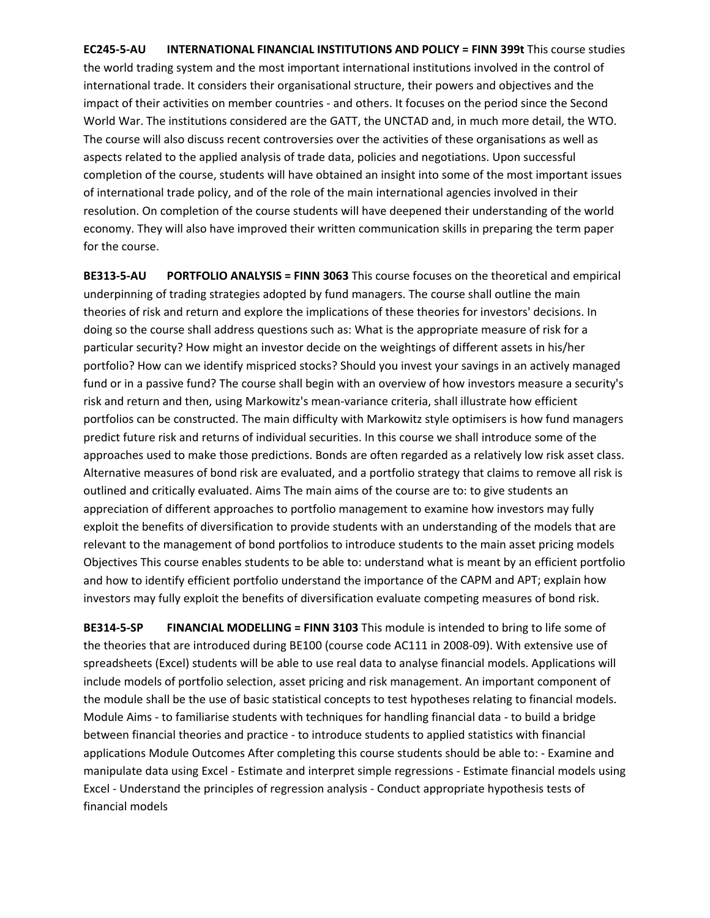**EC245‐5‐AU INTERNATIONAL FINANCIAL INSTITUTIONS AND POLICY = FINN 399t** This course studies the world trading system and the most important international institutions involved in the control of international trade. It considers their organisational structure, their powers and objectives and the impact of their activities on member countries ‐ and others. It focuses on the period since the Second World War. The institutions considered are the GATT, the UNCTAD and, in much more detail, the WTO. The course will also discuss recent controversies over the activities of these organisations as well as aspects related to the applied analysis of trade data, policies and negotiations. Upon successful completion of the course, students will have obtained an insight into some of the most important issues of international trade policy, and of the role of the main international agencies involved in their resolution. On completion of the course students will have deepened their understanding of the world economy. They will also have improved their written communication skills in preparing the term paper for the course.

**BE313‐5‐AU PORTFOLIO ANALYSIS = FINN 3063** This course focuses on the theoretical and empirical underpinning of trading strategies adopted by fund managers. The course shall outline the main theories of risk and return and explore the implications of these theories for investors' decisions. In doing so the course shall address questions such as: What is the appropriate measure of risk for a particular security? How might an investor decide on the weightings of different assets in his/her portfolio? How can we identify mispriced stocks? Should you invest your savings in an actively managed fund or in a passive fund? The course shall begin with an overview of how investors measure a security's risk and return and then, using Markowitz's mean‐variance criteria, shall illustrate how efficient portfolios can be constructed. The main difficulty with Markowitz style optimisers is how fund managers predict future risk and returns of individual securities. In this course we shall introduce some of the approaches used to make those predictions. Bonds are often regarded as a relatively low risk asset class. Alternative measures of bond risk are evaluated, and a portfolio strategy that claims to remove all risk is outlined and critically evaluated. Aims The main aims of the course are to: to give students an appreciation of different approaches to portfolio management to examine how investors may fully exploit the benefits of diversification to provide students with an understanding of the models that are relevant to the management of bond portfolios to introduce students to the main asset pricing models Objectives This course enables students to be able to: understand what is meant by an efficient portfolio and how to identify efficient portfolio understand the importance of the CAPM and APT; explain how investors may fully exploit the benefits of diversification evaluate competing measures of bond risk.

**BE314‐5‐SP FINANCIAL MODELLING = FINN 3103** This module is intended to bring to life some of the theories that are introduced during BE100 (course code AC111 in 2008‐09). With extensive use of spreadsheets (Excel) students will be able to use real data to analyse financial models. Applications will include models of portfolio selection, asset pricing and risk management. An important component of the module shall be the use of basic statistical concepts to test hypotheses relating to financial models. Module Aims ‐ to familiarise students with techniques for handling financial data ‐ to build a bridge between financial theories and practice ‐ to introduce students to applied statistics with financial applications Module Outcomes After completing this course students should be able to: ‐ Examine and manipulate data using Excel ‐ Estimate and interpret simple regressions ‐ Estimate financial models using Excel ‐ Understand the principles of regression analysis ‐ Conduct appropriate hypothesis tests of financial models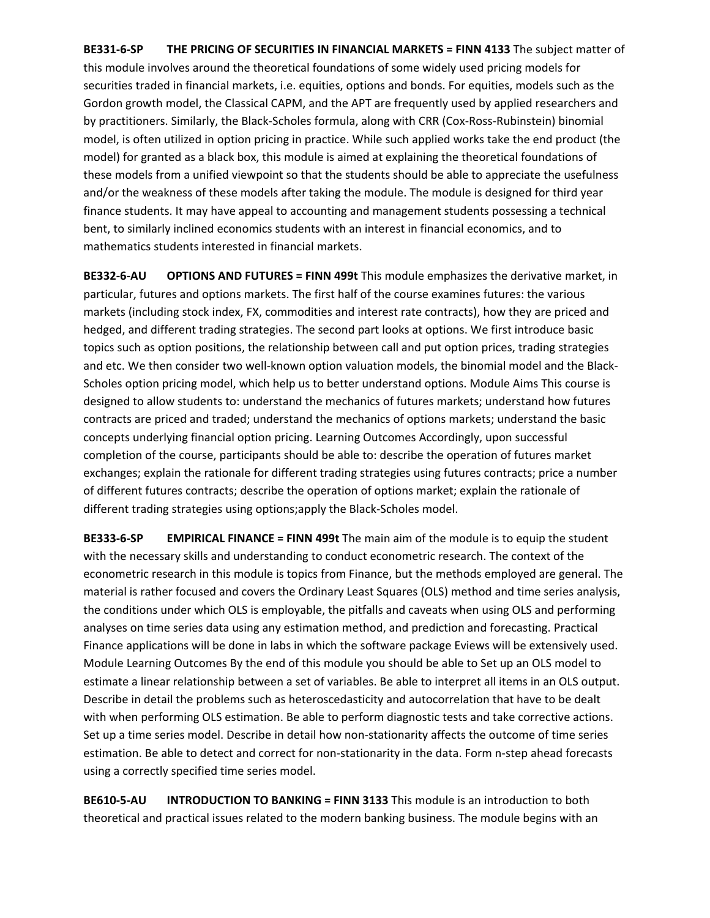**BE331‐6‐SP THE PRICING OF SECURITIES IN FINANCIAL MARKETS = FINN 4133** The subject matter of this module involves around the theoretical foundations of some widely used pricing models for securities traded in financial markets, i.e. equities, options and bonds. For equities, models such as the Gordon growth model, the Classical CAPM, and the APT are frequently used by applied researchers and by practitioners. Similarly, the Black‐Scholes formula, along with CRR (Cox‐Ross‐Rubinstein) binomial model, is often utilized in option pricing in practice. While such applied works take the end product (the model) for granted as a black box, this module is aimed at explaining the theoretical foundations of these models from a unified viewpoint so that the students should be able to appreciate the usefulness and/or the weakness of these models after taking the module. The module is designed for third year finance students. It may have appeal to accounting and management students possessing a technical bent, to similarly inclined economics students with an interest in financial economics, and to mathematics students interested in financial markets.

**BE332‐6‐AU OPTIONS AND FUTURES = FINN 499t** This module emphasizes the derivative market, in particular, futures and options markets. The first half of the course examines futures: the various markets (including stock index, FX, commodities and interest rate contracts), how they are priced and hedged, and different trading strategies. The second part looks at options. We first introduce basic topics such as option positions, the relationship between call and put option prices, trading strategies and etc. We then consider two well-known option valuation models, the binomial model and the Black-Scholes option pricing model, which help us to better understand options. Module Aims This course is designed to allow students to: understand the mechanics of futures markets; understand how futures contracts are priced and traded; understand the mechanics of options markets; understand the basic concepts underlying financial option pricing. Learning Outcomes Accordingly, upon successful completion of the course, participants should be able to: describe the operation of futures market exchanges; explain the rationale for different trading strategies using futures contracts; price a number of different futures contracts; describe the operation of options market; explain the rationale of different trading strategies using options;apply the Black‐Scholes model.

**BE333‐6‐SP EMPIRICAL FINANCE = FINN 499t** The main aim of the module is to equip the student with the necessary skills and understanding to conduct econometric research. The context of the econometric research in this module is topics from Finance, but the methods employed are general. The material is rather focused and covers the Ordinary Least Squares (OLS) method and time series analysis, the conditions under which OLS is employable, the pitfalls and caveats when using OLS and performing analyses on time series data using any estimation method, and prediction and forecasting. Practical Finance applications will be done in labs in which the software package Eviews will be extensively used. Module Learning Outcomes By the end of this module you should be able to Set up an OLS model to estimate a linear relationship between a set of variables. Be able to interpret all items in an OLS output. Describe in detail the problems such as heteroscedasticity and autocorrelation that have to be dealt with when performing OLS estimation. Be able to perform diagnostic tests and take corrective actions. Set up a time series model. Describe in detail how non-stationarity affects the outcome of time series estimation. Be able to detect and correct for non-stationarity in the data. Form n-step ahead forecasts using a correctly specified time series model.

**BE610‐5‐AU INTRODUCTION TO BANKING = FINN 3133** This module is an introduction to both theoretical and practical issues related to the modern banking business. The module begins with an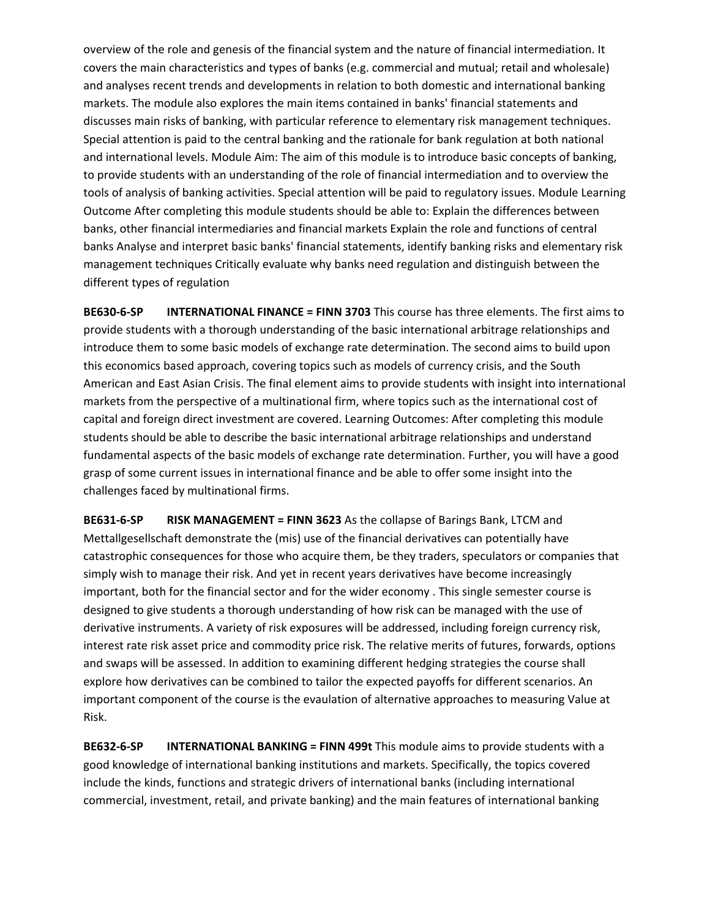overview of the role and genesis of the financial system and the nature of financial intermediation. It covers the main characteristics and types of banks (e.g. commercial and mutual; retail and wholesale) and analyses recent trends and developments in relation to both domestic and international banking markets. The module also explores the main items contained in banks' financial statements and discusses main risks of banking, with particular reference to elementary risk management techniques. Special attention is paid to the central banking and the rationale for bank regulation at both national and international levels. Module Aim: The aim of this module is to introduce basic concepts of banking, to provide students with an understanding of the role of financial intermediation and to overview the tools of analysis of banking activities. Special attention will be paid to regulatory issues. Module Learning Outcome After completing this module students should be able to: Explain the differences between banks, other financial intermediaries and financial markets Explain the role and functions of central banks Analyse and interpret basic banks' financial statements, identify banking risks and elementary risk management techniques Critically evaluate why banks need regulation and distinguish between the different types of regulation

**BE630‐6‐SP INTERNATIONAL FINANCE = FINN 3703** This course has three elements. The first aims to provide students with a thorough understanding of the basic international arbitrage relationships and introduce them to some basic models of exchange rate determination. The second aims to build upon this economics based approach, covering topics such as models of currency crisis, and the South American and East Asian Crisis. The final element aims to provide students with insight into international markets from the perspective of a multinational firm, where topics such as the international cost of capital and foreign direct investment are covered. Learning Outcomes: After completing this module students should be able to describe the basic international arbitrage relationships and understand fundamental aspects of the basic models of exchange rate determination. Further, you will have a good grasp of some current issues in international finance and be able to offer some insight into the challenges faced by multinational firms.

**BE631‐6‐SP RISK MANAGEMENT = FINN 3623** As the collapse of Barings Bank, LTCM and Mettallgesellschaft demonstrate the (mis) use of the financial derivatives can potentially have catastrophic consequences for those who acquire them, be they traders, speculators or companies that simply wish to manage their risk. And yet in recent years derivatives have become increasingly important, both for the financial sector and for the wider economy . This single semester course is designed to give students a thorough understanding of how risk can be managed with the use of derivative instruments. A variety of risk exposures will be addressed, including foreign currency risk, interest rate risk asset price and commodity price risk. The relative merits of futures, forwards, options and swaps will be assessed. In addition to examining different hedging strategies the course shall explore how derivatives can be combined to tailor the expected payoffs for different scenarios. An important component of the course is the evaulation of alternative approaches to measuring Value at Risk.

**BE632‐6‐SP INTERNATIONAL BANKING = FINN 499t** This module aims to provide students with a good knowledge of international banking institutions and markets. Specifically, the topics covered include the kinds, functions and strategic drivers of international banks (including international commercial, investment, retail, and private banking) and the main features of international banking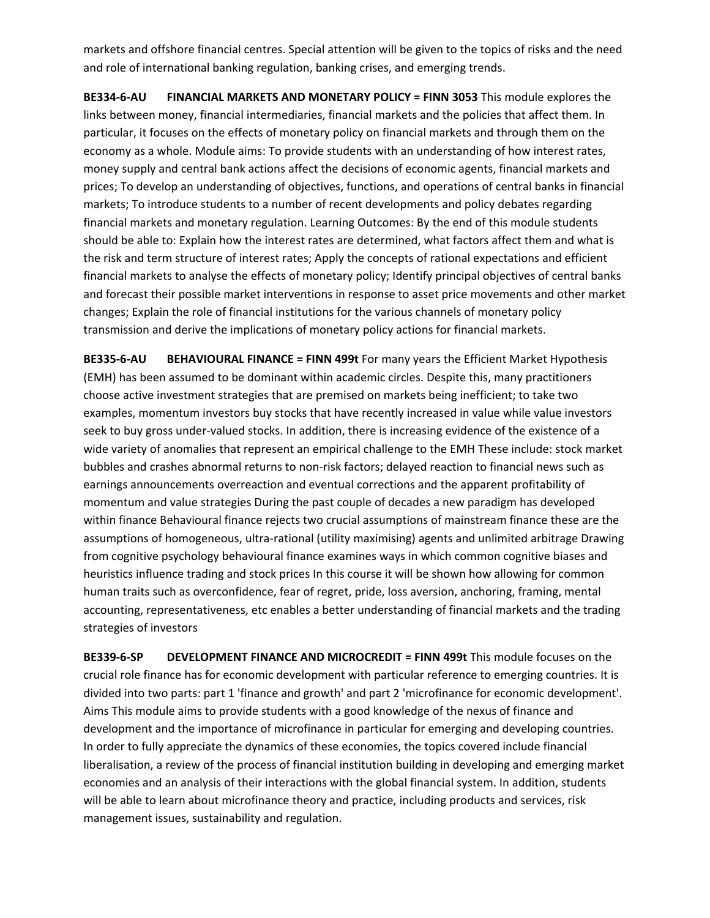markets and offshore financial centres. Special attention will be given to the topics of risks and the need and role of international banking regulation, banking crises, and emerging trends.

**BE334‐6‐AU FINANCIAL MARKETS AND MONETARY POLICY = FINN 3053** This module explores the links between money, financial intermediaries, financial markets and the policies that affect them. In particular, it focuses on the effects of monetary policy on financial markets and through them on the economy as a whole. Module aims: To provide students with an understanding of how interest rates, money supply and central bank actions affect the decisions of economic agents, financial markets and prices; To develop an understanding of objectives, functions, and operations of central banks in financial markets; To introduce students to a number of recent developments and policy debates regarding financial markets and monetary regulation. Learning Outcomes: By the end of this module students should be able to: Explain how the interest rates are determined, what factors affect them and what is the risk and term structure of interest rates; Apply the concepts of rational expectations and efficient financial markets to analyse the effects of monetary policy; Identify principal objectives of central banks and forecast their possible market interventions in response to asset price movements and other market changes; Explain the role of financial institutions for the various channels of monetary policy transmission and derive the implications of monetary policy actions for financial markets.

**BE335‐6‐AU BEHAVIOURAL FINANCE = FINN 499t** For many years the Efficient Market Hypothesis (EMH) has been assumed to be dominant within academic circles. Despite this, many practitioners choose active investment strategies that are premised on markets being inefficient; to take two examples, momentum investors buy stocks that have recently increased in value while value investors seek to buy gross under-valued stocks. In addition, there is increasing evidence of the existence of a wide variety of anomalies that represent an empirical challenge to the EMH These include: stock market bubbles and crashes abnormal returns to non‐risk factors; delayed reaction to financial news such as earnings announcements overreaction and eventual corrections and the apparent profitability of momentum and value strategies During the past couple of decades a new paradigm has developed within finance Behavioural finance rejects two crucial assumptions of mainstream finance these are the assumptions of homogeneous, ultra‐rational (utility maximising) agents and unlimited arbitrage Drawing from cognitive psychology behavioural finance examines ways in which common cognitive biases and heuristics influence trading and stock prices In this course it will be shown how allowing for common human traits such as overconfidence, fear of regret, pride, loss aversion, anchoring, framing, mental accounting, representativeness, etc enables a better understanding of financial markets and the trading strategies of investors

**BE339‐6‐SP DEVELOPMENT FINANCE AND MICROCREDIT = FINN 499t** This module focuses on the crucial role finance has for economic development with particular reference to emerging countries. It is divided into two parts: part 1 'finance and growth' and part 2 'microfinance for economic development'. Aims This module aims to provide students with a good knowledge of the nexus of finance and development and the importance of microfinance in particular for emerging and developing countries. In order to fully appreciate the dynamics of these economies, the topics covered include financial liberalisation, a review of the process of financial institution building in developing and emerging market economies and an analysis of their interactions with the global financial system. In addition, students will be able to learn about microfinance theory and practice, including products and services, risk management issues, sustainability and regulation.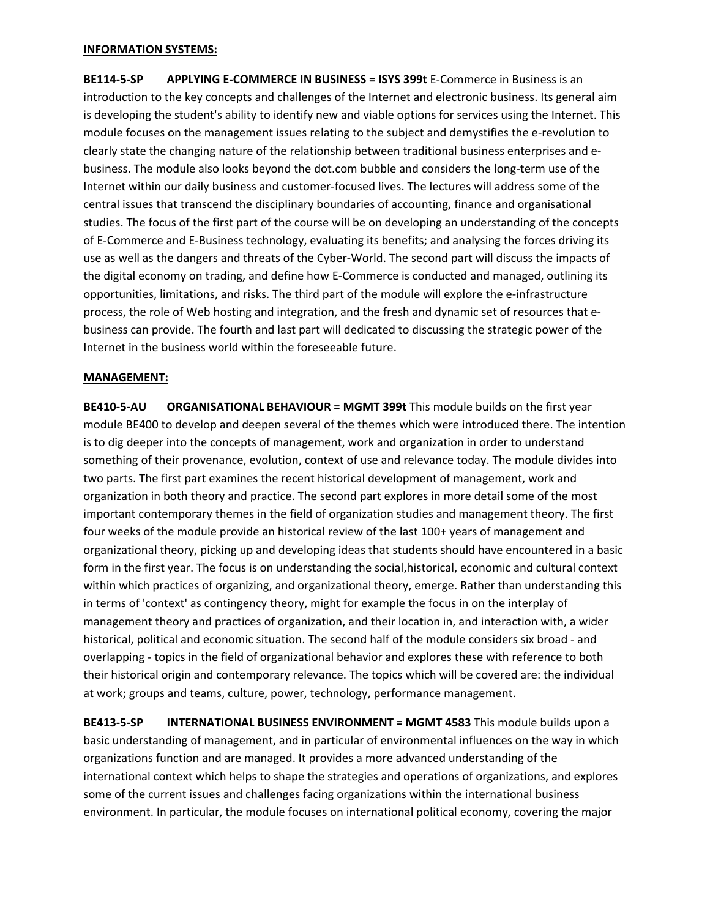#### **INFORMATION SYSTEMS:**

**BE114‐5‐SP APPLYING E‐COMMERCE IN BUSINESS = ISYS 399t** E‐Commerce in Business is an introduction to the key concepts and challenges of the Internet and electronic business. Its general aim is developing the student's ability to identify new and viable options for services using the Internet. This module focuses on the management issues relating to the subject and demystifies the e‐revolution to clearly state the changing nature of the relationship between traditional business enterprises and e‐ business. The module also looks beyond the dot.com bubble and considers the long‐term use of the Internet within our daily business and customer‐focused lives. The lectures will address some of the central issues that transcend the disciplinary boundaries of accounting, finance and organisational studies. The focus of the first part of the course will be on developing an understanding of the concepts of E‐Commerce and E‐Business technology, evaluating its benefits; and analysing the forces driving its use as well as the dangers and threats of the Cyber‐World. The second part will discuss the impacts of the digital economy on trading, and define how E‐Commerce is conducted and managed, outlining its opportunities, limitations, and risks. The third part of the module will explore the e‐infrastructure process, the role of Web hosting and integration, and the fresh and dynamic set of resources that e‐ business can provide. The fourth and last part will dedicated to discussing the strategic power of the Internet in the business world within the foreseeable future.

#### **MANAGEMENT:**

**BE410‐5‐AU ORGANISATIONAL BEHAVIOUR = MGMT 399t** This module builds on the first year module BE400 to develop and deepen several of the themes which were introduced there. The intention is to dig deeper into the concepts of management, work and organization in order to understand something of their provenance, evolution, context of use and relevance today. The module divides into two parts. The first part examines the recent historical development of management, work and organization in both theory and practice. The second part explores in more detail some of the most important contemporary themes in the field of organization studies and management theory. The first four weeks of the module provide an historical review of the last 100+ years of management and organizational theory, picking up and developing ideas that students should have encountered in a basic form in the first year. The focus is on understanding the social,historical, economic and cultural context within which practices of organizing, and organizational theory, emerge. Rather than understanding this in terms of 'context' as contingency theory, might for example the focus in on the interplay of management theory and practices of organization, and their location in, and interaction with, a wider historical, political and economic situation. The second half of the module considers six broad - and overlapping ‐ topics in the field of organizational behavior and explores these with reference to both their historical origin and contemporary relevance. The topics which will be covered are: the individual at work; groups and teams, culture, power, technology, performance management. 

**BE413‐5‐SP INTERNATIONAL BUSINESS ENVIRONMENT = MGMT 4583** This module builds upon a basic understanding of management, and in particular of environmental influences on the way in which organizations function and are managed. It provides a more advanced understanding of the international context which helps to shape the strategies and operations of organizations, and explores some of the current issues and challenges facing organizations within the international business environment. In particular, the module focuses on international political economy, covering the major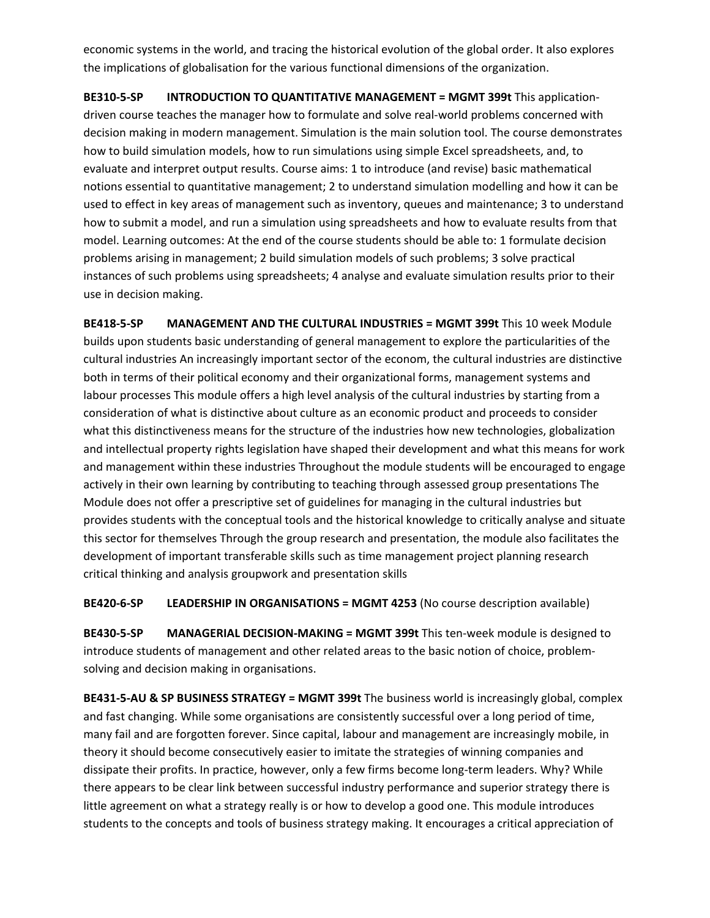economic systems in the world, and tracing the historical evolution of the global order. It also explores the implications of globalisation for the various functional dimensions of the organization.

**BE310‐5‐SP INTRODUCTION TO QUANTITATIVE MANAGEMENT = MGMT 399t** This application‐ driven course teaches the manager how to formulate and solve real‐world problems concerned with decision making in modern management. Simulation is the main solution tool. The course demonstrates how to build simulation models, how to run simulations using simple Excel spreadsheets, and, to evaluate and interpret output results. Course aims: 1 to introduce (and revise) basic mathematical notions essential to quantitative management; 2 to understand simulation modelling and how it can be used to effect in key areas of management such as inventory, queues and maintenance; 3 to understand how to submit a model, and run a simulation using spreadsheets and how to evaluate results from that model. Learning outcomes: At the end of the course students should be able to: 1 formulate decision problems arising in management; 2 build simulation models of such problems; 3 solve practical instances of such problems using spreadsheets; 4 analyse and evaluate simulation results prior to their use in decision making.

**BE418‐5‐SP MANAGEMENT AND THE CULTURAL INDUSTRIES = MGMT 399t** This 10 week Module builds upon students basic understanding of general management to explore the particularities of the cultural industries An increasingly important sector of the econom, the cultural industries are distinctive both in terms of their political economy and their organizational forms, management systems and labour processes This module offers a high level analysis of the cultural industries by starting from a consideration of what is distinctive about culture as an economic product and proceeds to consider what this distinctiveness means for the structure of the industries how new technologies, globalization and intellectual property rights legislation have shaped their development and what this means for work and management within these industries Throughout the module students will be encouraged to engage actively in their own learning by contributing to teaching through assessed group presentations The Module does not offer a prescriptive set of guidelines for managing in the cultural industries but provides students with the conceptual tools and the historical knowledge to critically analyse and situate this sector for themselves Through the group research and presentation, the module also facilitates the development of important transferable skills such as time management project planning research critical thinking and analysis groupwork and presentation skills

**BE420‐6‐SP LEADERSHIP IN ORGANISATIONS = MGMT 4253** (No course description available)

**BE430‐5‐SP MANAGERIAL DECISION‐MAKING = MGMT 399t** This ten‐week module is designed to introduce students of management and other related areas to the basic notion of choice, problem‐ solving and decision making in organisations.

**BE431‐5‐AU & SP BUSINESS STRATEGY = MGMT 399t** The business world is increasingly global, complex and fast changing. While some organisations are consistently successful over a long period of time, many fail and are forgotten forever. Since capital, labour and management are increasingly mobile, in theory it should become consecutively easier to imitate the strategies of winning companies and dissipate their profits. In practice, however, only a few firms become long-term leaders. Why? While there appears to be clear link between successful industry performance and superior strategy there is little agreement on what a strategy really is or how to develop a good one. This module introduces students to the concepts and tools of business strategy making. It encourages a critical appreciation of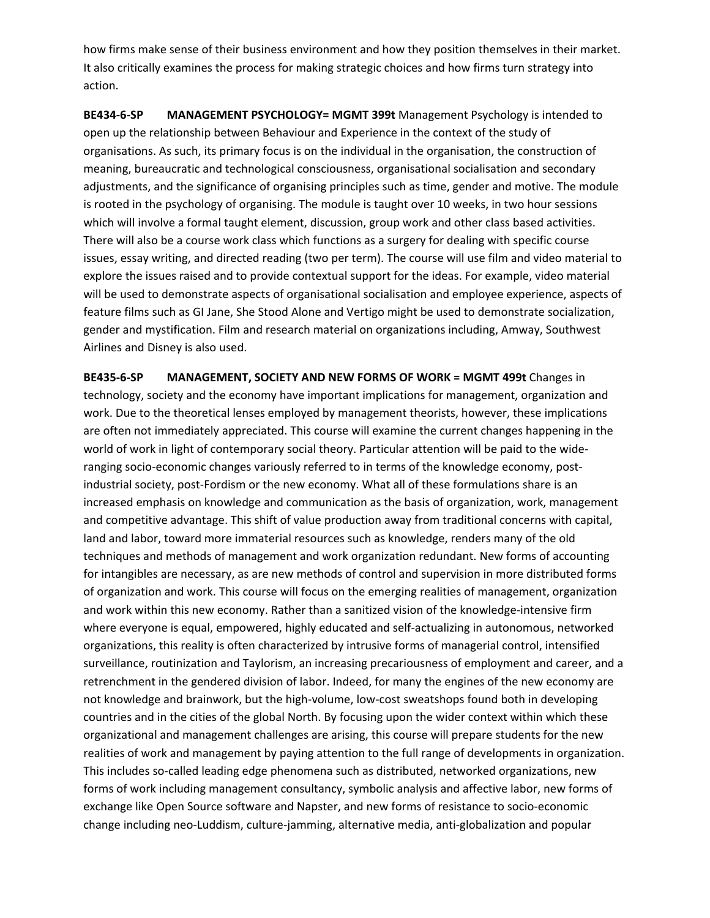how firms make sense of their business environment and how they position themselves in their market. It also critically examines the process for making strategic choices and how firms turn strategy into action.

**BE434‐6‐SP MANAGEMENT PSYCHOLOGY= MGMT 399t** Management Psychology is intended to open up the relationship between Behaviour and Experience in the context of the study of organisations. As such, its primary focus is on the individual in the organisation, the construction of meaning, bureaucratic and technological consciousness, organisational socialisation and secondary adjustments, and the significance of organising principles such as time, gender and motive. The module is rooted in the psychology of organising. The module is taught over 10 weeks, in two hour sessions which will involve a formal taught element, discussion, group work and other class based activities. There will also be a course work class which functions as a surgery for dealing with specific course issues, essay writing, and directed reading (two per term). The course will use film and video material to explore the issues raised and to provide contextual support for the ideas. For example, video material will be used to demonstrate aspects of organisational socialisation and employee experience, aspects of feature films such as GI Jane, She Stood Alone and Vertigo might be used to demonstrate socialization, gender and mystification. Film and research material on organizations including, Amway, Southwest Airlines and Disney is also used.

**BE435‐6‐SP MANAGEMENT, SOCIETY AND NEW FORMS OF WORK = MGMT 499t** Changes in technology, society and the economy have important implications for management, organization and work. Due to the theoretical lenses employed by management theorists, however, these implications are often not immediately appreciated. This course will examine the current changes happening in the world of work in light of contemporary social theory. Particular attention will be paid to the wideranging socio-economic changes variously referred to in terms of the knowledge economy, postindustrial society, post-Fordism or the new economy. What all of these formulations share is an increased emphasis on knowledge and communication as the basis of organization, work, management and competitive advantage. This shift of value production away from traditional concerns with capital, land and labor, toward more immaterial resources such as knowledge, renders many of the old techniques and methods of management and work organization redundant. New forms of accounting for intangibles are necessary, as are new methods of control and supervision in more distributed forms of organization and work. This course will focus on the emerging realities of management, organization and work within this new economy. Rather than a sanitized vision of the knowledge-intensive firm where everyone is equal, empowered, highly educated and self-actualizing in autonomous, networked organizations, this reality is often characterized by intrusive forms of managerial control, intensified surveillance, routinization and Taylorism, an increasing precariousness of employment and career, and a retrenchment in the gendered division of labor. Indeed, for many the engines of the new economy are not knowledge and brainwork, but the high‐volume, low‐cost sweatshops found both in developing countries and in the cities of the global North. By focusing upon the wider context within which these organizational and management challenges are arising, this course will prepare students for the new realities of work and management by paying attention to the full range of developments in organization. This includes so-called leading edge phenomena such as distributed, networked organizations, new forms of work including management consultancy, symbolic analysis and affective labor, new forms of exchange like Open Source software and Napster, and new forms of resistance to socio‐economic change including neo‐Luddism, culture‐jamming, alternative media, anti‐globalization and popular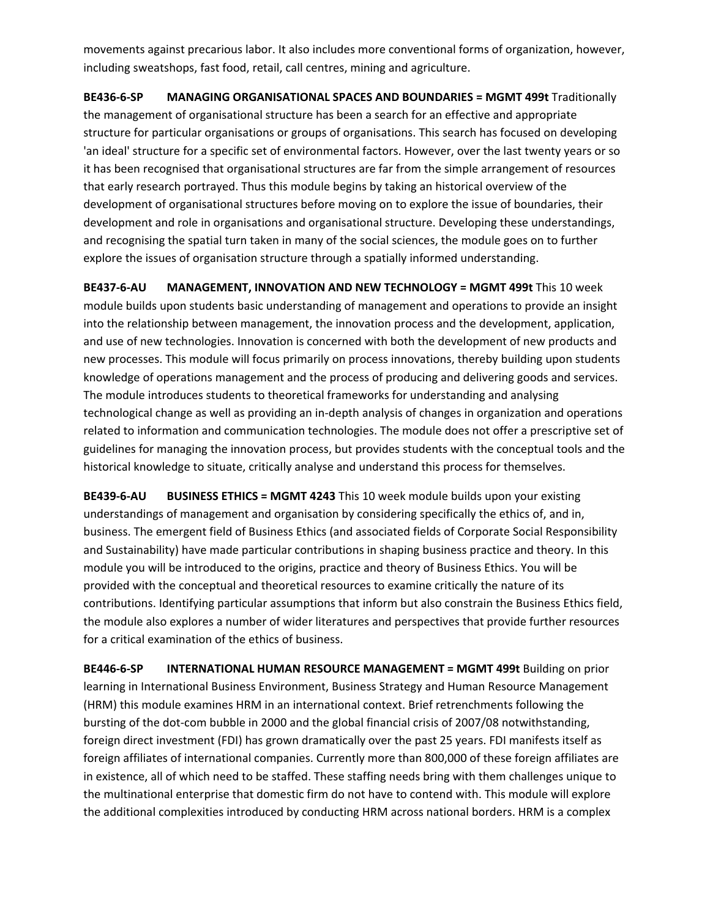movements against precarious labor. It also includes more conventional forms of organization, however, including sweatshops, fast food, retail, call centres, mining and agriculture.

**BE436‐6‐SP MANAGING ORGANISATIONAL SPACES AND BOUNDARIES = MGMT 499t** Traditionally the management of organisational structure has been a search for an effective and appropriate structure for particular organisations or groups of organisations. This search has focused on developing 'an ideal' structure for a specific set of environmental factors. However, over the last twenty years or so it has been recognised that organisational structures are far from the simple arrangement of resources that early research portrayed. Thus this module begins by taking an historical overview of the development of organisational structures before moving on to explore the issue of boundaries, their development and role in organisations and organisational structure. Developing these understandings, and recognising the spatial turn taken in many of the social sciences, the module goes on to further explore the issues of organisation structure through a spatially informed understanding.

**BE437‐6‐AU MANAGEMENT, INNOVATION AND NEW TECHNOLOGY = MGMT 499t** This 10 week module builds upon students basic understanding of management and operations to provide an insight into the relationship between management, the innovation process and the development, application, and use of new technologies. Innovation is concerned with both the development of new products and new processes. This module will focus primarily on process innovations, thereby building upon students knowledge of operations management and the process of producing and delivering goods and services. The module introduces students to theoretical frameworks for understanding and analysing technological change as well as providing an in‐depth analysis of changes in organization and operations related to information and communication technologies. The module does not offer a prescriptive set of guidelines for managing the innovation process, but provides students with the conceptual tools and the historical knowledge to situate, critically analyse and understand this process for themselves.

**BE439‐6‐AU BUSINESS ETHICS = MGMT 4243** This 10 week module builds upon your existing understandings of management and organisation by considering specifically the ethics of, and in, business. The emergent field of Business Ethics (and associated fields of Corporate Social Responsibility and Sustainability) have made particular contributions in shaping business practice and theory. In this module you will be introduced to the origins, practice and theory of Business Ethics. You will be provided with the conceptual and theoretical resources to examine critically the nature of its contributions. Identifying particular assumptions that inform but also constrain the Business Ethics field, the module also explores a number of wider literatures and perspectives that provide further resources for a critical examination of the ethics of business.

**BE446‐6‐SP INTERNATIONAL HUMAN RESOURCE MANAGEMENT = MGMT 499t** Building on prior learning in International Business Environment, Business Strategy and Human Resource Management (HRM) this module examines HRM in an international context. Brief retrenchments following the bursting of the dot‐com bubble in 2000 and the global financial crisis of 2007/08 notwithstanding, foreign direct investment (FDI) has grown dramatically over the past 25 years. FDI manifests itself as foreign affiliates of international companies. Currently more than 800,000 of these foreign affiliates are in existence, all of which need to be staffed. These staffing needs bring with them challenges unique to the multinational enterprise that domestic firm do not have to contend with. This module will explore the additional complexities introduced by conducting HRM across national borders. HRM is a complex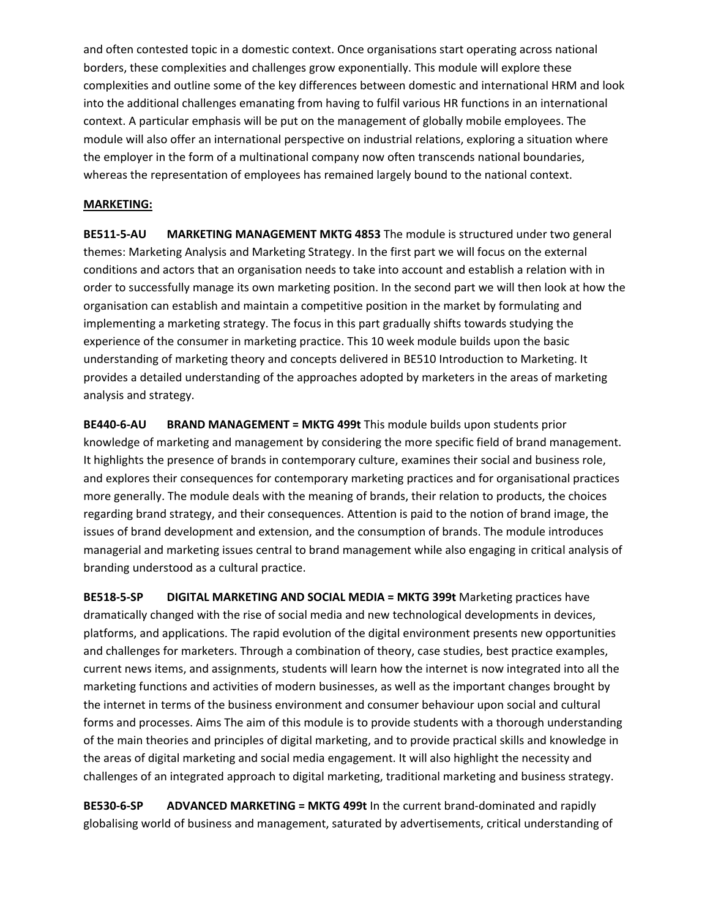and often contested topic in a domestic context. Once organisations start operating across national borders, these complexities and challenges grow exponentially. This module will explore these complexities and outline some of the key differences between domestic and international HRM and look into the additional challenges emanating from having to fulfil various HR functions in an international context. A particular emphasis will be put on the management of globally mobile employees. The module will also offer an international perspective on industrial relations, exploring a situation where the employer in the form of a multinational company now often transcends national boundaries, whereas the representation of employees has remained largely bound to the national context.

# **MARKETING:**

**BE511‐5‐AU MARKETING MANAGEMENT MKTG 4853** The module is structured under two general themes: Marketing Analysis and Marketing Strategy. In the first part we will focus on the external conditions and actors that an organisation needs to take into account and establish a relation with in order to successfully manage its own marketing position. In the second part we will then look at how the organisation can establish and maintain a competitive position in the market by formulating and implementing a marketing strategy. The focus in this part gradually shifts towards studying the experience of the consumer in marketing practice. This 10 week module builds upon the basic understanding of marketing theory and concepts delivered in BE510 Introduction to Marketing. It provides a detailed understanding of the approaches adopted by marketers in the areas of marketing analysis and strategy.

**BE440‐6‐AU BRAND MANAGEMENT = MKTG 499t** This module builds upon students prior knowledge of marketing and management by considering the more specific field of brand management. It highlights the presence of brands in contemporary culture, examines their social and business role, and explores their consequences for contemporary marketing practices and for organisational practices more generally. The module deals with the meaning of brands, their relation to products, the choices regarding brand strategy, and their consequences. Attention is paid to the notion of brand image, the issues of brand development and extension, and the consumption of brands. The module introduces managerial and marketing issues central to brand management while also engaging in critical analysis of branding understood as a cultural practice.

**BE518‐5‐SP DIGITAL MARKETING AND SOCIAL MEDIA = MKTG 399t** Marketing practices have dramatically changed with the rise of social media and new technological developments in devices, platforms, and applications. The rapid evolution of the digital environment presents new opportunities and challenges for marketers. Through a combination of theory, case studies, best practice examples, current news items, and assignments, students will learn how the internet is now integrated into all the marketing functions and activities of modern businesses, as well as the important changes brought by the internet in terms of the business environment and consumer behaviour upon social and cultural forms and processes. Aims The aim of this module is to provide students with a thorough understanding of the main theories and principles of digital marketing, and to provide practical skills and knowledge in the areas of digital marketing and social media engagement. It will also highlight the necessity and challenges of an integrated approach to digital marketing, traditional marketing and business strategy.

**BE530‐6‐SP ADVANCED MARKETING = MKTG 499t** In the current brand‐dominated and rapidly globalising world of business and management, saturated by advertisements, critical understanding of